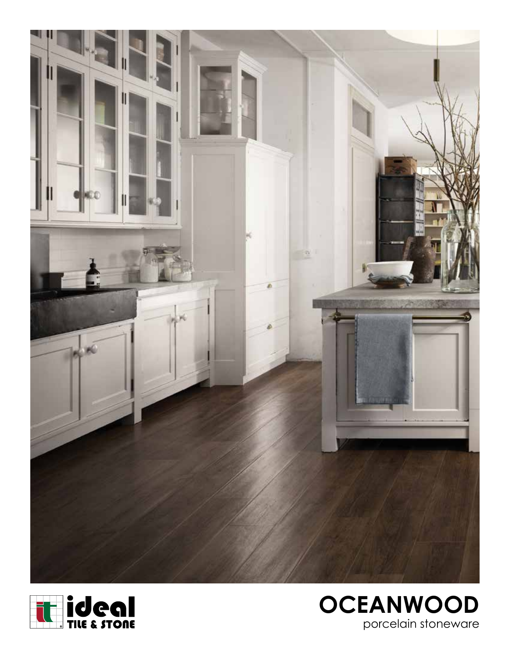



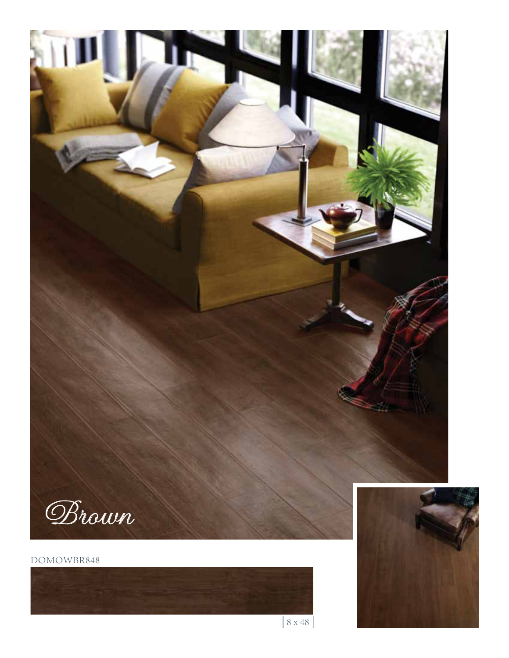

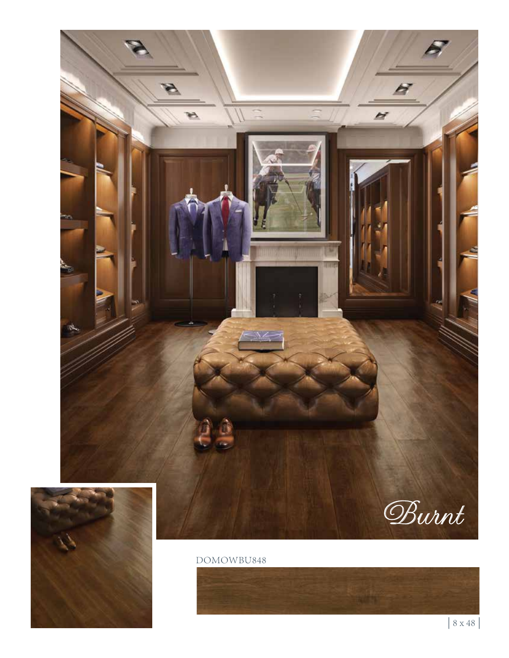

## DOMOWBU848

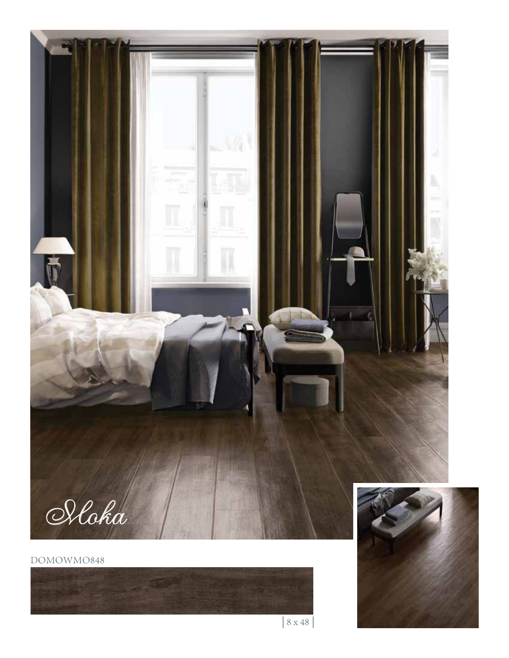

## DOMOWMO848





| 8 x 48 |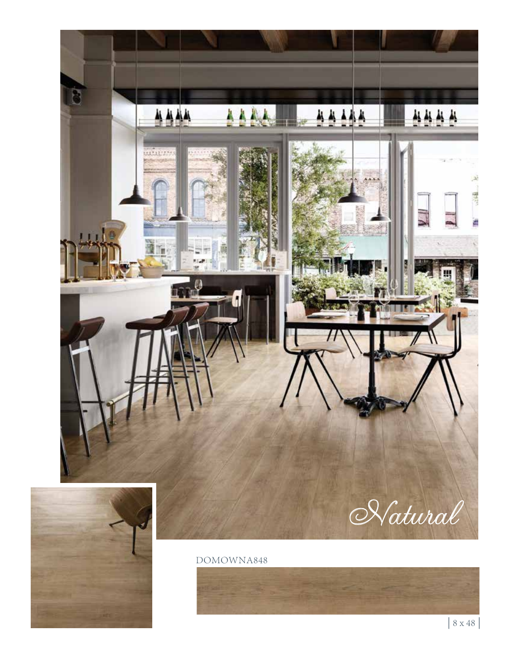

## DOMOWNA848

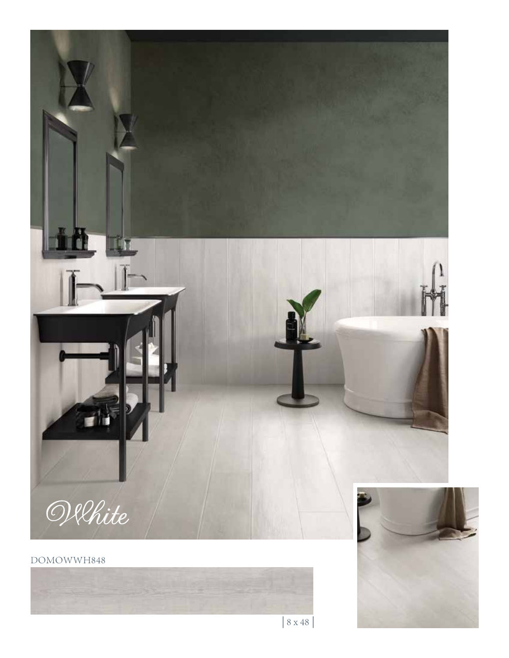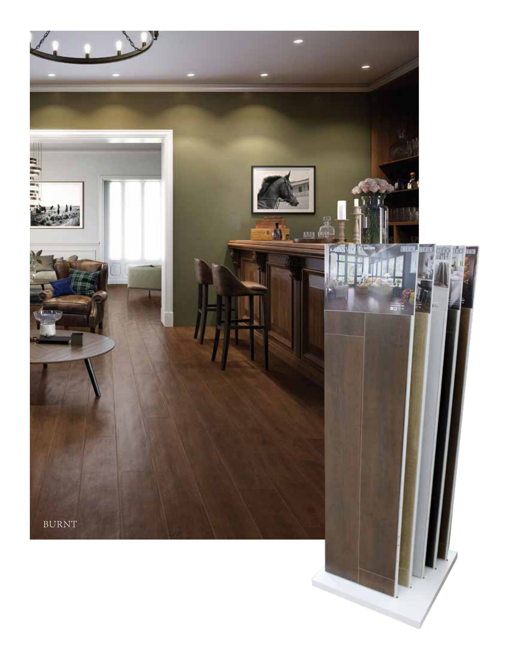